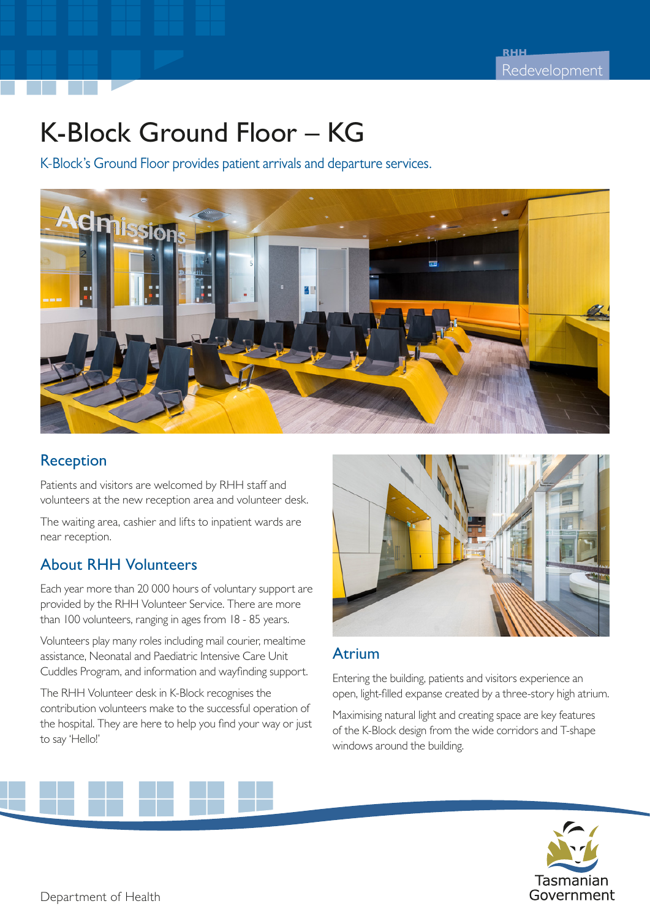# K-Block Ground Floor – KG

K-Block's Ground Floor provides patient arrivals and departure services.



#### Reception

Patients and visitors are welcomed by RHH staff and volunteers at the new reception area and volunteer desk.

The waiting area, cashier and lifts to inpatient wards are near reception.

## About RHH Volunteers

Each year more than 20 000 hours of voluntary support are provided by the RHH Volunteer Service. There are more than 100 volunteers, ranging in ages from 18 - 85 years.

Volunteers play many roles including mail courier, mealtime assistance, Neonatal and Paediatric Intensive Care Unit Cuddles Program, and information and wayfinding support.

The RHH Volunteer desk in K-Block recognises the contribution volunteers make to the successful operation of the hospital. They are here to help you find your way or just to say 'Hello!'



#### Atrium

Entering the building, patients and visitors experience an open, light-filled expanse created by a three-story high atrium.

Maximising natural light and creating space are key features of the K-Block design from the wide corridors and T-shape windows around the building.

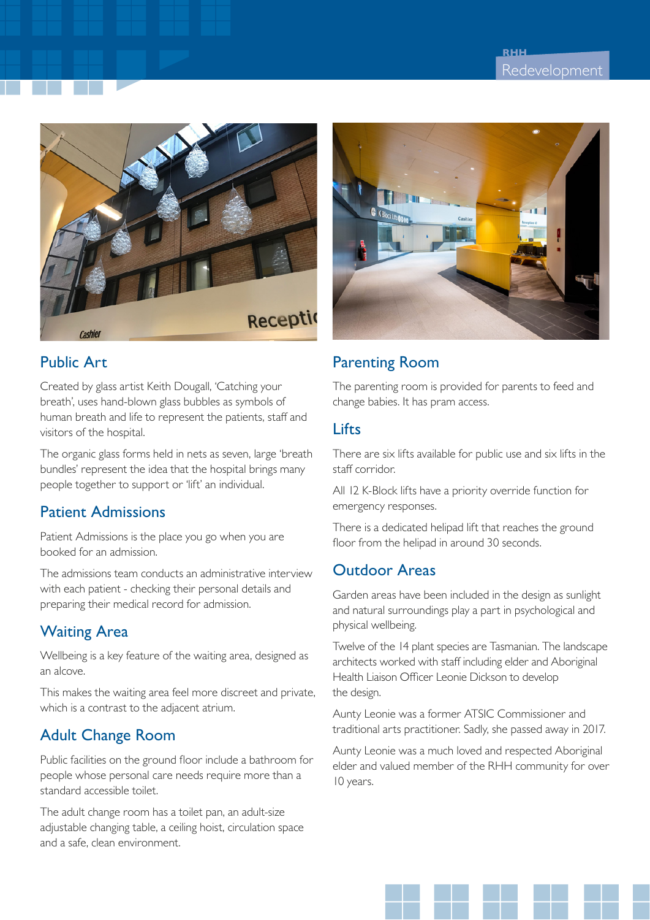

## Public Art

Created by glass artist Keith Dougall, 'Catching your breath', uses hand-blown glass bubbles as symbols of human breath and life to represent the patients, staff and visitors of the hospital.

The organic glass forms held in nets as seven, large 'breath bundles' represent the idea that the hospital brings many people together to support or 'lift' an individual.

## Patient Admissions

Patient Admissions is the place you go when you are booked for an admission.

The admissions team conducts an administrative interview with each patient - checking their personal details and preparing their medical record for admission.

# Waiting Area

Wellbeing is a key feature of the waiting area, designed as an alcove.

This makes the waiting area feel more discreet and private, which is a contrast to the adjacent atrium.

# Adult Change Room

Public facilities on the ground floor include a bathroom for people whose personal care needs require more than a standard accessible toilet.

The adult change room has a toilet pan, an adult-size adjustable changing table, a ceiling hoist, circulation space and a safe, clean environment.



# Parenting Room

The parenting room is provided for parents to feed and change babies. It has pram access.

### Lifts

There are six lifts available for public use and six lifts in the staff corridor.

All 12 K-Block lifts have a priority override function for emergency responses.

There is a dedicated helipad lift that reaches the ground floor from the helipad in around 30 seconds.

# Outdoor Areas

Garden areas have been included in the design as sunlight and natural surroundings play a part in psychological and physical wellbeing.

Twelve of the 14 plant species are Tasmanian. The landscape architects worked with staff including elder and Aboriginal Health Liaison Officer Leonie Dickson to develop the design.

Aunty Leonie was a former ATSIC Commissioner and traditional arts practitioner. Sadly, she passed away in 2017.

Aunty Leonie was a much loved and respected Aboriginal elder and valued member of the RHH community for over 10 years.